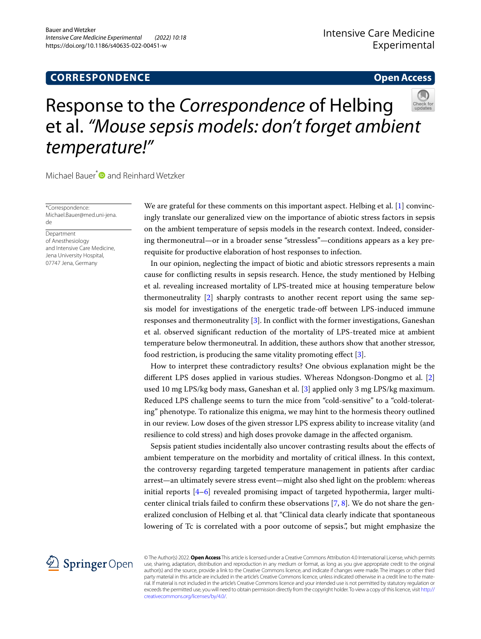## **CORRESPONDENCE**

### **Open Access**

# Response to the *Correspondence* of Helbing et al. *"Mouse sepsis models: don't forget ambient temperature!"*

Michael Bauer<sup>\*</sup> and Reinhard Wetzker

\*Correspondence: Michael.Bauer@med.uni-jena. de

Department of Anesthesiology and Intensive Care Medicine, Jena University Hospital, 07747 Jena, Germany

We are grateful for these comments on this important aspect. Helbing et al. [[1\]](#page-1-0) convincingly translate our generalized view on the importance of abiotic stress factors in sepsis on the ambient temperature of sepsis models in the research context. Indeed, considering thermoneutral—or in a broader sense "stressless"—conditions appears as a key prerequisite for productive elaboration of host responses to infection.

In our opinion, neglecting the impact of biotic and abiotic stressors represents a main cause for conficting results in sepsis research. Hence, the study mentioned by Helbing et al. revealing increased mortality of LPS-treated mice at housing temperature below thermoneutrality [[2\]](#page-1-1) sharply contrasts to another recent report using the same sepsis model for investigations of the energetic trade-off between LPS-induced immune responses and thermoneutrality [[3\]](#page-1-2). In confict with the former investigations, Ganeshan et al. observed signifcant reduction of the mortality of LPS-treated mice at ambient temperature below thermoneutral. In addition, these authors show that another stressor, food restriction, is producing the same vitality promoting efect [[3\]](#page-1-2).

How to interpret these contradictory results? One obvious explanation might be the diferent LPS doses applied in various studies. Whereas Ndongson-Dongmo et al. [\[2](#page-1-1)] used 10 mg LPS/kg body mass, Ganeshan et al. [\[3](#page-1-2)] applied only 3 mg LPS/kg maximum. Reduced LPS challenge seems to turn the mice from "cold-sensitive" to a "cold-tolerating" phenotype. To rationalize this enigma, we may hint to the hormesis theory outlined in our review. Low doses of the given stressor LPS express ability to increase vitality (and resilience to cold stress) and high doses provoke damage in the afected organism.

Sepsis patient studies incidentally also uncover contrasting results about the efects of ambient temperature on the morbidity and mortality of critical illness. In this context, the controversy regarding targeted temperature management in patients after cardiac arrest—an ultimately severe stress event—might also shed light on the problem: whereas initial reports  $[4-6]$  $[4-6]$  revealed promising impact of targeted hypothermia, larger multicenter clinical trials failed to confrm these observations [\[7](#page-1-5), [8\]](#page-1-6). We do not share the generalized conclusion of Helbing et al. that "Clinical data clearly indicate that spontaneous lowering of Tc is correlated with a poor outcome of sepsis.", but might emphasize the



© The Author(s) 2022. **Open Access** This article is licensed under a Creative Commons Attribution 4.0 International License, which permits use, sharing, adaptation, distribution and reproduction in any medium or format, as long as you give appropriate credit to the original author(s) and the source, provide a link to the Creative Commons licence, and indicate if changes were made. The images or other third party material in this article are included in the article's Creative Commons licence, unless indicated otherwise in a credit line to the material. If material is not included in the article's Creative Commons licence and your intended use is not permitted by statutory regulation or exceeds the permitted use, you will need to obtain permission directly from the copyright holder. To view a copy of this licence, visit [http://](http://creativecommons.org/licenses/by/4.0/) [creativecommons.org/licenses/by/4.0/.](http://creativecommons.org/licenses/by/4.0/)